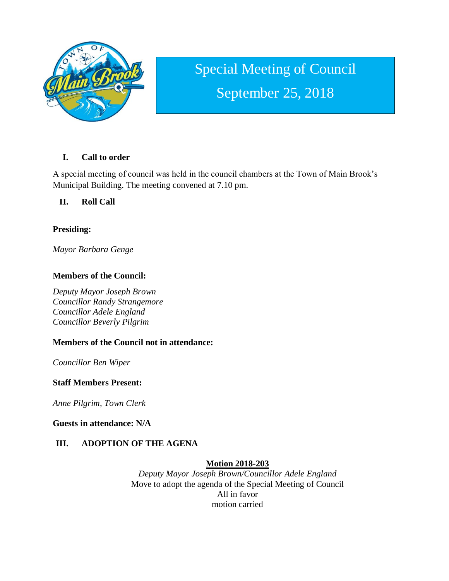

# Special Meeting of Council September 25, 2018

## **I. Call to order**

A special meeting of council was held in the council chambers at the Town of Main Brook's Municipal Building. The meeting convened at 7.10 pm.

## **II. Roll Call**

## **Presiding:**

*Mayor Barbara Genge*

## **Members of the Council:**

*Deputy Mayor Joseph Brown Councillor Randy Strangemore Councillor Adele England Councillor Beverly Pilgrim*

## **Members of the Council not in attendance:**

*Councillor Ben Wiper*

#### **Staff Members Present:**

*Anne Pilgrim, Town Clerk*

**Guests in attendance: N/A**

## **III. ADOPTION OF THE AGENA**

## **Motion 2018-203**

*Deputy Mayor Joseph Brown/Councillor Adele England* Move to adopt the agenda of the Special Meeting of Council All in favor motion carried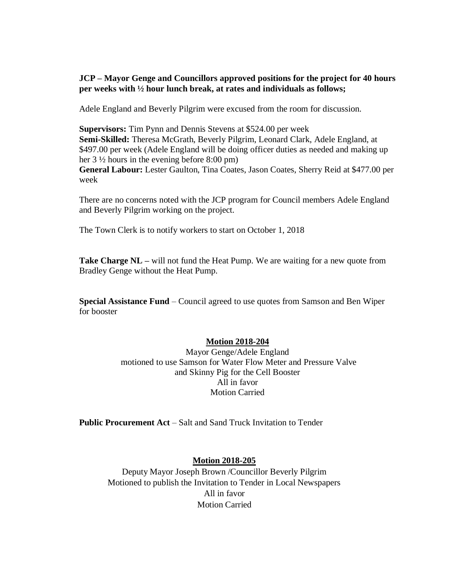#### **JCP – Mayor Genge and Councillors approved positions for the project for 40 hours per weeks with ½ hour lunch break, at rates and individuals as follows;**

Adele England and Beverly Pilgrim were excused from the room for discussion.

**Supervisors:** Tim Pynn and Dennis Stevens at \$524.00 per week **Semi-Skilled:** Theresa McGrath, Beverly Pilgrim, Leonard Clark, Adele England, at \$497.00 per week (Adele England will be doing officer duties as needed and making up her 3 ½ hours in the evening before 8:00 pm) **General Labour:** Lester Gaulton, Tina Coates, Jason Coates, Sherry Reid at \$477.00 per week

There are no concerns noted with the JCP program for Council members Adele England and Beverly Pilgrim working on the project.

The Town Clerk is to notify workers to start on October 1, 2018

**Take Charge NL –** will not fund the Heat Pump. We are waiting for a new quote from Bradley Genge without the Heat Pump.

**Special Assistance Fund** – Council agreed to use quotes from Samson and Ben Wiper for booster

#### **Motion 2018-204**

Mayor Genge/Adele England motioned to use Samson for Water Flow Meter and Pressure Valve and Skinny Pig for the Cell Booster All in favor Motion Carried

**Public Procurement Act** – Salt and Sand Truck Invitation to Tender

#### **Motion 2018-205**

Deputy Mayor Joseph Brown /Councillor Beverly Pilgrim Motioned to publish the Invitation to Tender in Local Newspapers All in favor Motion Carried